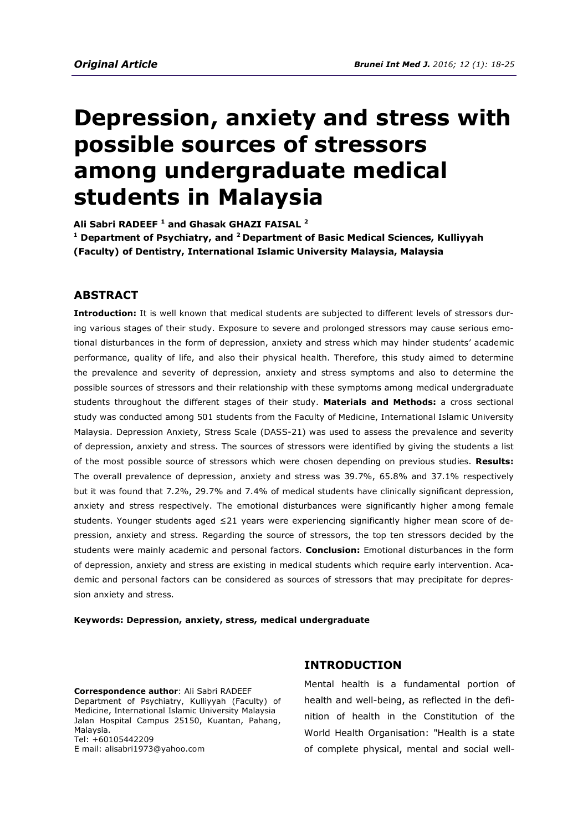# **Depression, anxiety and stress with possible sources of stressors among undergraduate medical students in Malaysia**

**Ali Sabri RADEEF <sup>1</sup> and Ghasak GHAZI FAISAL <sup>2</sup> 1 Department of Psychiatry, and <sup>2</sup>Department of Basic Medical Sciences, Kulliyyah (Faculty) of Dentistry, International Islamic University Malaysia, Malaysia** 

### **ABSTRACT**

**Introduction:** It is well known that medical students are subjected to different levels of stressors during various stages of their study. Exposure to severe and prolonged stressors may cause serious emotional disturbances in the form of depression, anxiety and stress which may hinder students' academic performance, quality of life, and also their physical health. Therefore, this study aimed to determine the prevalence and severity of depression, anxiety and stress symptoms and also to determine the possible sources of stressors and their relationship with these symptoms among medical undergraduate students throughout the different stages of their study. **Materials and Methods:** a cross sectional study was conducted among 501 students from the Faculty of Medicine, International Islamic University Malaysia. Depression Anxiety, Stress Scale (DASS-21) was used to assess the prevalence and severity of depression, anxiety and stress. The sources of stressors were identified by giving the students a list of the most possible source of stressors which were chosen depending on previous studies. **Results:**  The overall prevalence of depression, anxiety and stress was 39.7%, 65.8% and 37.1% respectively but it was found that 7.2%, 29.7% and 7.4% of medical students have clinically significant depression, anxiety and stress respectively. The emotional disturbances were significantly higher among female students. Younger students aged ≤21 years were experiencing significantly higher mean score of depression, anxiety and stress. Regarding the source of stressors, the top ten stressors decided by the students were mainly academic and personal factors. **Conclusion:** Emotional disturbances in the form of depression, anxiety and stress are existing in medical students which require early intervention. Academic and personal factors can be considered as sources of stressors that may precipitate for depression anxiety and stress.

#### **Keywords: Depression, anxiety, stress, medical undergraduate**

**Correspondence author**: Ali Sabri RADEEF Department of Psychiatry, Kulliyyah (Faculty) of Medicine, International Islamic University Malaysia Jalan Hospital Campus 25150, Kuantan, Pahang, Malaysia. Tel: +60105442209 E mail: alisabri1973@yahoo.com

### **INTRODUCTION**

Mental health is a fundamental portion of health and well-being, as reflected in the definition of health in the Constitution of the World Health Organisation: "Health is a state of complete physical, mental and social well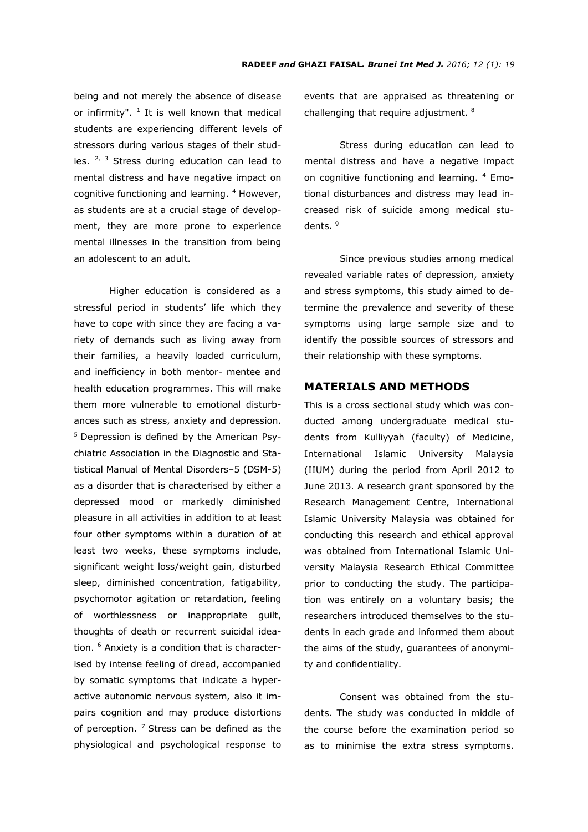being and not merely the absence of disease or infirmity".  $1$  It is well known that medical students are experiencing different levels of stressors during various stages of their studies.  $2^{7}$  3 Stress during education can lead to mental distress and have negative impact on cognitive functioning and learning. <sup>4</sup> However, as students are at a crucial stage of development, they are more prone to experience mental illnesses in the transition from being an adolescent to an adult.

Higher education is considered as a stressful period in students' life which they have to cope with since they are facing a variety of demands such as living away from their families, a heavily loaded curriculum, and inefficiency in both mentor- mentee and health education programmes. This will make them more vulnerable to emotional disturbances such as stress, anxiety and depression.  $5$  Depression is defined by the American Psychiatric Association in the Diagnostic and Statistical Manual of Mental Disorders–5 (DSM-5) as a disorder that is characterised by either a depressed mood or markedly diminished pleasure in all activities in addition to at least four other symptoms within a duration of at least two weeks, these symptoms include, significant weight loss/weight gain, disturbed sleep, diminished concentration, fatigability, psychomotor agitation or retardation, feeling of worthlessness or inappropriate guilt, thoughts of death or recurrent suicidal ideation. <sup>6</sup> Anxiety is a condition that is characterised by intense feeling of dread, accompanied by somatic symptoms that indicate a hyperactive autonomic nervous system, also it impairs cognition and may produce distortions of perception.  $7$  Stress can be defined as the physiological and psychological response to events that are appraised as threatening or challenging that require adjustment. <sup>8</sup>

 Stress during education can lead to mental distress and have a negative impact on cognitive functioning and learning. <sup>4</sup> Emotional disturbances and distress may lead increased risk of suicide among medical students. <sup>9</sup>

Since previous studies among medical revealed variable rates of depression, anxiety and stress symptoms, this study aimed to determine the prevalence and severity of these symptoms using large sample size and to identify the possible sources of stressors and their relationship with these symptoms.

## **MATERIALS AND METHODS**

This is a cross sectional study which was conducted among undergraduate medical students from Kulliyyah (faculty) of Medicine, International Islamic University Malaysia (IIUM) during the period from April 2012 to June 2013. A research grant sponsored by the Research Management Centre, International Islamic University Malaysia was obtained for conducting this research and ethical approval was obtained from International Islamic University Malaysia Research Ethical Committee prior to conducting the study. The participation was entirely on a voluntary basis; the researchers introduced themselves to the students in each grade and informed them about the aims of the study, guarantees of anonymity and confidentiality.

Consent was obtained from the students. The study was conducted in middle of the course before the examination period so as to minimise the extra stress symptoms.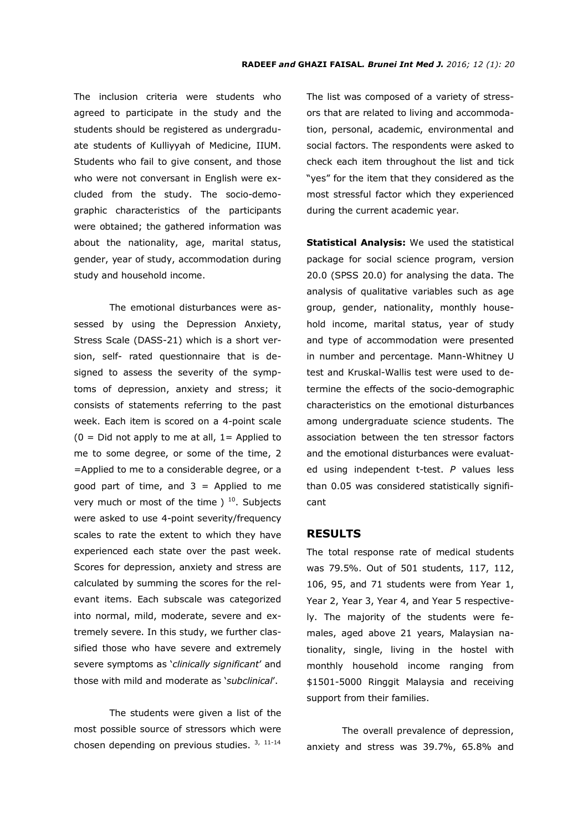The inclusion criteria were students who agreed to participate in the study and the students should be registered as undergraduate students of Kulliyyah of Medicine, IIUM. Students who fail to give consent, and those who were not conversant in English were excluded from the study. The socio-demographic characteristics of the participants were obtained; the gathered information was about the nationality, age, marital status, gender, year of study, accommodation during study and household income.

The emotional disturbances were assessed by using the Depression Anxiety, Stress Scale (DASS-21) which is a short version, self- rated questionnaire that is designed to assess the severity of the symptoms of depression, anxiety and stress; it consists of statements referring to the past week. Each item is scored on a 4-point scale  $(0 = Did not apply to me at all, 1 = Applied to)$ me to some degree, or some of the time, 2 =Applied to me to a considerable degree, or a good part of time, and  $3 =$  Applied to me very much or most of the time  $1^{10}$ . Subjects were asked to use 4-point severity/frequency scales to rate the extent to which they have experienced each state over the past week. Scores for depression, anxiety and stress are calculated by summing the scores for the relevant items. Each subscale was categorized into normal, mild, moderate, severe and extremely severe. In this study, we further classified those who have severe and extremely severe symptoms as '*clinically significant*' and those with mild and moderate as '*subclinical*'.

 The students were given a list of the most possible source of stressors which were chosen depending on previous studies. 3, 11-14

The list was composed of a variety of stressors that are related to living and accommodation, personal, academic, environmental and social factors. The respondents were asked to check each item throughout the list and tick "yes" for the item that they considered as the most stressful factor which they experienced during the current academic year.

**Statistical Analysis:** We used the statistical package for social science program, version 20.0 (SPSS 20.0) for analysing the data. The analysis of qualitative variables such as age group, gender, nationality, monthly household income, marital status, year of study and type of accommodation were presented in number and percentage. Mann-Whitney U test and Kruskal-Wallis test were used to determine the effects of the socio-demographic characteristics on the emotional disturbances among undergraduate science students. The association between the ten stressor factors and the emotional disturbances were evaluated using independent t-test. *P* values less than 0.05 was considered statistically significant

## **RESULTS**

The total response rate of medical students was 79.5%. Out of 501 students, 117, 112, 106, 95, and 71 students were from Year 1, Year 2, Year 3, Year 4, and Year 5 respectively. The majority of the students were females, aged above 21 years, Malaysian nationality, single, living in the hostel with monthly household income ranging from \$1501-5000 Ringgit Malaysia and receiving support from their families.

 The overall prevalence of depression, anxiety and stress was 39.7%, 65.8% and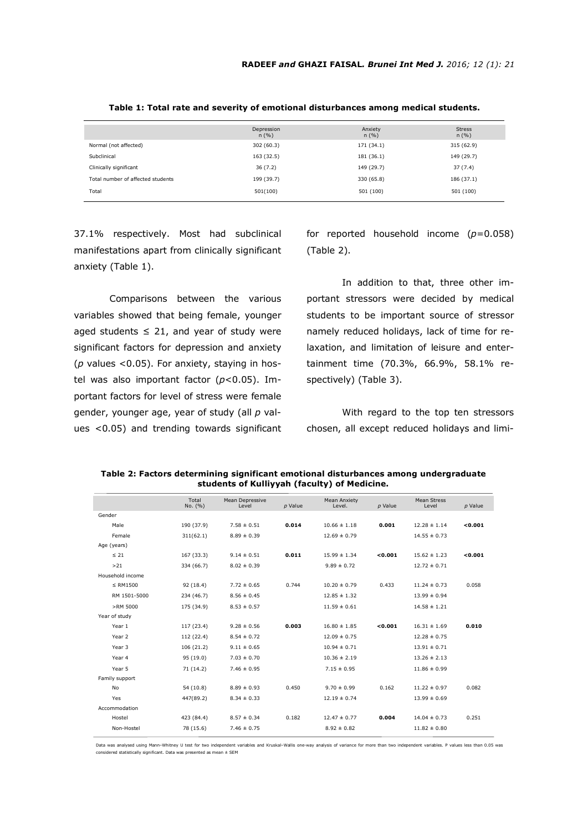|                                   | Depression<br>n(%) | Anxiety<br>n(%) | <b>Stress</b><br>n(%) |
|-----------------------------------|--------------------|-----------------|-----------------------|
| Normal (not affected)             | 302 (60.3)         | 171 (34.1)      | 315 (62.9)            |
| Subclinical                       | 163 (32.5)         | 181 (36.1)      | 149 (29.7)            |
| Clinically significant            | 36(7.2)            | 149 (29.7)      | 37(7.4)               |
| Total number of affected students | 199 (39.7)         | 330 (65.8)      | 186 (37.1)            |
| Total                             | 501(100)           | 501 (100)       | 501 (100)             |

**Table 1: Total rate and severity of emotional disturbances among medical students.**

37.1% respectively. Most had subclinical manifestations apart from clinically significant anxiety (Table 1).

Comparisons between the various variables showed that being female, younger aged students  $\leq$  21, and year of study were significant factors for depression and anxiety (*p* values <0.05). For anxiety, staying in hostel was also important factor (*p*<0.05). Important factors for level of stress were female gender, younger age, year of study (all *p* values <0.05) and trending towards significant for reported household income (*p*=0.058) (Table 2).

 In addition to that, three other important stressors were decided by medical students to be important source of stressor namely reduced holidays, lack of time for relaxation, and limitation of leisure and entertainment time (70.3%, 66.9%, 58.1% respectively) (Table 3).

With regard to the top ten stressors chosen, all except reduced holidays and limi-

|                  | Total<br>No. (%) | Mean Depressive<br>Level | p Value | <b>Mean Anxiety</b><br>Level. | $p$ Value | <b>Mean Stress</b><br>Level | $p$ Value |
|------------------|------------------|--------------------------|---------|-------------------------------|-----------|-----------------------------|-----------|
| Gender           |                  |                          |         |                               |           |                             |           |
| Male             | 190 (37.9)       | $7.58 \pm 0.51$          | 0.014   | $10.66 \pm 1.18$              | 0.001     | $12.28 \pm 1.14$            | < 0.001   |
| Female           | 311(62.1)        | $8.89 \pm 0.39$          |         | $12.69 \pm 0.79$              |           | $14.55 \pm 0.73$            |           |
| Age (years)      |                  |                          |         |                               |           |                             |           |
| $\leq 21$        | 167 (33.3)       | $9.14 \pm 0.51$          | 0.011   | $15.99 \pm 1.34$              | < 0.001   | $15.62 \pm 1.23$            | < 0.001   |
| >21              | 334 (66.7)       | $8.02 \pm 0.39$          |         | $9.89 \pm 0.72$               |           | $12.72 \pm 0.71$            |           |
| Household income |                  |                          |         |                               |           |                             |           |
| $\le$ RM1500     | 92 (18.4)        | $7.72 \pm 0.65$          | 0.744   | $10.20 \pm 0.79$              | 0.433     | $11.24 \pm 0.73$            | 0.058     |
| RM 1501-5000     | 234 (46.7)       | $8.56 \pm 0.45$          |         | $12.85 \pm 1.32$              |           | $13.99 \pm 0.94$            |           |
| >RM 5000         | 175 (34.9)       | $8.53 \pm 0.57$          |         | $11.59 \pm 0.61$              |           | $14.58 \pm 1.21$            |           |
| Year of study    |                  |                          |         |                               |           |                             |           |
| Year 1           | 117 (23.4)       | $9.28 \pm 0.56$          | 0.003   | $16.80 \pm 1.85$              | < 0.001   | $16.31 \pm 1.69$            | 0.010     |
| Year 2           | 112 (22.4)       | $8.54 \pm 0.72$          |         | $12.09 \pm 0.75$              |           | $12.28 \pm 0.75$            |           |
| Year 3           | 106(21.2)        | $9.11 \pm 0.65$          |         | $10.94 \pm 0.71$              |           | $13.91 \pm 0.71$            |           |
| Year 4           | 95 (19.0)        | $7.03 \pm 0.70$          |         | $10.36 \pm 2.19$              |           | $13.26 \pm 2.13$            |           |
| Year 5           | 71 (14.2)        | $7.46 \pm 0.95$          |         | $7.15 \pm 0.95$               |           | $11.86 \pm 0.99$            |           |
| Family support   |                  |                          |         |                               |           |                             |           |
| No               | 54 (10.8)        | $8.89 \pm 0.93$          | 0.450   | $9.70 \pm 0.99$               | 0.162     | $11.22 \pm 0.97$            | 0.082     |
| Yes              | 447(89.2)        | $8.34 \pm 0.33$          |         | $12.19 \pm 0.74$              |           | $13.99 \pm 0.69$            |           |
| Accommodation    |                  |                          |         |                               |           |                             |           |
| Hostel           | 423 (84.4)       | $8.57 \pm 0.34$          | 0.182   | $12.47 \pm 0.77$              | 0.004     | $14.04 \pm 0.73$            | 0.251     |
| Non-Hostel       | 78 (15.6)        | $7.46 \pm 0.75$          |         | $8.92 \pm 0.82$               |           | $11.82 \pm 0.80$            |           |
|                  |                  |                          |         |                               |           |                             |           |

**Table 2: Factors determining significant emotional disturbances among undergraduate students of Kulliyyah (faculty) of Medicine.**

Data was analysed using Mann–Whitney U test for two independent variables and Kruskal–Wallis one-way analysis of variance for more than two independent variables. P values less than 0.05 was considered statistically significant. Data was presented as mean ± SEM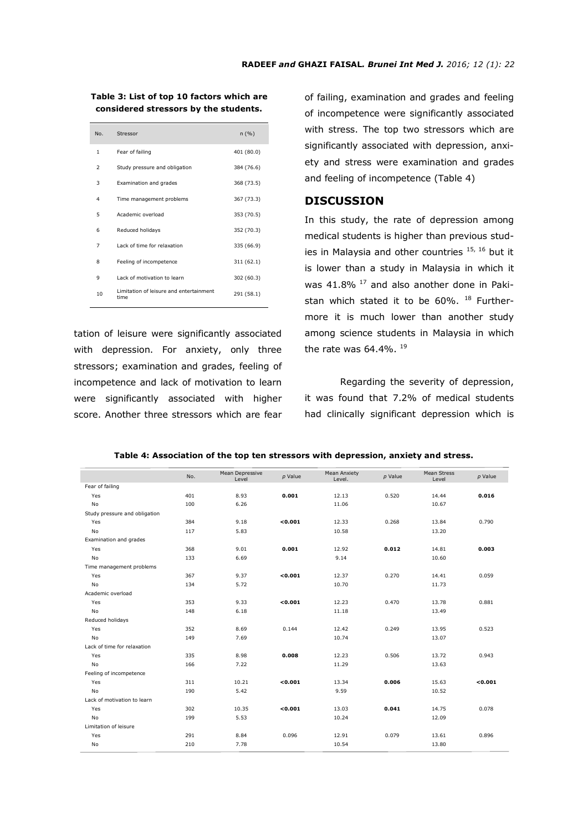#### **Table 3: List of top 10 factors which are considered stressors by the students.**

| No.                      | Stressor                                        | n(%)       |
|--------------------------|-------------------------------------------------|------------|
| 1                        | Fear of failing                                 | 401 (80.0) |
| $\overline{\phantom{a}}$ | Study pressure and obligation                   | 384 (76.6) |
| 3                        | Examination and grades                          | 368 (73.5) |
| 4                        | Time management problems                        | 367 (73.3) |
| 5                        | Academic overload                               | 353 (70.5) |
| 6                        | Reduced holidays                                | 352 (70.3) |
| 7                        | Lack of time for relaxation                     | 335 (66.9) |
| 8                        | Feeling of incompetence                         | 311 (62.1) |
| 9                        | Lack of motivation to learn                     | 302 (60.3) |
| 10                       | Limitation of leisure and entertainment<br>time | 291 (58.1) |

tation of leisure were significantly associated with depression. For anxiety, only three stressors; examination and grades, feeling of incompetence and lack of motivation to learn were significantly associated with higher score. Another three stressors which are fear of failing, examination and grades and feeling of incompetence were significantly associated with stress. The top two stressors which are significantly associated with depression, anxiety and stress were examination and grades and feeling of incompetence (Table 4)

# **DISCUSSION**

In this study, the rate of depression among medical students is higher than previous studies in Malaysia and other countries 15, 16 but it is lower than a study in Malaysia in which it was  $41.8\%$  <sup>17</sup> and also another done in Pakistan which stated it to be  $60\%$ .  $^{18}$  Furthermore it is much lower than another study among science students in Malaysia in which the rate was  $64.4\%$ .  $^{19}$ 

 Regarding the severity of depression, it was found that 7.2% of medical students had clinically significant depression which is

|                               |     |                          |           |                               |           | Mean Stress |           |
|-------------------------------|-----|--------------------------|-----------|-------------------------------|-----------|-------------|-----------|
|                               | No. | Mean Depressive<br>Level | $p$ Value | <b>Mean Anxiety</b><br>Level. | $p$ Value | Level       | $p$ Value |
| Fear of failing               |     |                          |           |                               |           |             |           |
| Yes                           | 401 | 8.93                     | 0.001     | 12.13                         | 0.520     | 14.44       | 0.016     |
| <b>No</b>                     | 100 | 6.26                     |           | 11.06                         |           | 10.67       |           |
| Study pressure and obligation |     |                          |           |                               |           |             |           |
| Yes                           | 384 | 9.18                     | 0.001     | 12.33                         | 0.268     | 13.84       | 0.790     |
| No                            | 117 | 5.83                     |           | 10.58                         |           | 13.20       |           |
| Examination and grades        |     |                          |           |                               |           |             |           |
| Yes                           | 368 | 9.01                     | 0.001     | 12.92                         | 0.012     | 14.81       | 0.003     |
| No                            | 133 | 6.69                     |           | 9.14                          |           | 10.60       |           |
| Time management problems      |     |                          |           |                               |           |             |           |
| Yes                           | 367 | 9.37                     | < 0.001   | 12.37                         | 0.270     | 14.41       | 0.059     |
| No                            | 134 | 5.72                     |           | 10.70                         |           | 11.73       |           |
| Academic overload             |     |                          |           |                               |           |             |           |
| Yes                           | 353 | 9.33                     | < 0.001   | 12.23                         | 0.470     | 13.78       | 0.881     |
| No                            | 148 | 6.18                     |           | 11.18                         |           | 13.49       |           |
| Reduced holidays              |     |                          |           |                               |           |             |           |
| Yes                           | 352 | 8.69                     | 0.144     | 12.42                         | 0.249     | 13.95       | 0.523     |
| <b>No</b>                     | 149 | 7.69                     |           | 10.74                         |           | 13.07       |           |
| Lack of time for relaxation   |     |                          |           |                               |           |             |           |
| Yes                           | 335 | 8.98                     | 0.008     | 12.23                         | 0.506     | 13.72       | 0.943     |
| <b>No</b>                     | 166 | 7.22                     |           | 11.29                         |           | 13.63       |           |
| Feeling of incompetence       |     |                          |           |                               |           |             |           |
| Yes                           | 311 | 10.21                    | 0.001     | 13.34                         | 0.006     | 15.63       | 0.001     |
| <b>No</b>                     | 190 | 5.42                     |           | 9.59                          |           | 10.52       |           |
| Lack of motivation to learn   |     |                          |           |                               |           |             |           |
| Yes                           | 302 | 10.35                    | 0.001     | 13.03                         | 0.041     | 14.75       | 0.078     |
| <b>No</b>                     | 199 | 5.53                     |           | 10.24                         |           | 12.09       |           |
| Limitation of leisure         |     |                          |           |                               |           |             |           |
| Yes                           | 291 | 8.84                     | 0.096     | 12.91                         | 0.079     | 13.61       | 0.896     |
| No                            | 210 | 7.78                     |           | 10.54                         |           | 13.80       |           |

#### **Table 4: Association of the top ten stressors with depression, anxiety and stress.**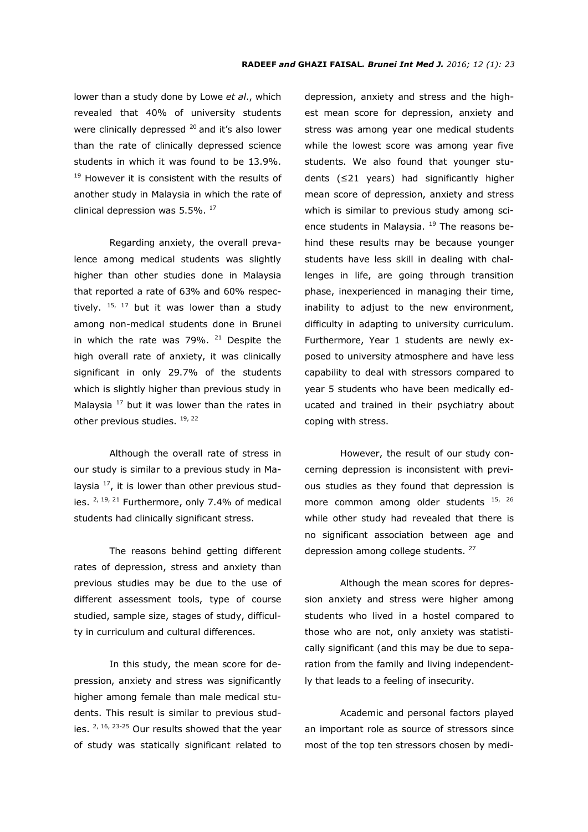lower than a study done by Lowe *et al*., which revealed that 40% of university students were clinically depressed  $20$  and it's also lower than the rate of clinically depressed science students in which it was found to be 13.9%. <sup>19</sup> However it is consistent with the results of another study in Malaysia in which the rate of clinical depression was  $5.5\%$ .  $^{17}$ 

 Regarding anxiety, the overall prevalence among medical students was slightly higher than other studies done in Malaysia that reported a rate of 63% and 60% respectively.  $15, 17$  but it was lower than a study among non-medical students done in Brunei in which the rate was  $79\%$ . <sup>21</sup> Despite the high overall rate of anxiety, it was clinically significant in only 29.7% of the students which is slightly higher than previous study in Malaysia  $17$  but it was lower than the rates in other previous studies. <sup>19, 22</sup>

 Although the overall rate of stress in our study is similar to a previous study in Malaysia  $^{17}$ , it is lower than other previous studies.  $2, 19, 21$  Furthermore, only 7.4% of medical students had clinically significant stress.

 The reasons behind getting different rates of depression, stress and anxiety than previous studies may be due to the use of different assessment tools, type of course studied, sample size, stages of study, difficulty in curriculum and cultural differences.

 In this study, the mean score for depression, anxiety and stress was significantly higher among female than male medical students. This result is similar to previous studies.  $2, 16, 23-25$  Our results showed that the year of study was statically significant related to depression, anxiety and stress and the highest mean score for depression, anxiety and stress was among year one medical students while the lowest score was among year five students. We also found that younger students (≤21 years) had significantly higher mean score of depression, anxiety and stress which is similar to previous study among science students in Malaysia. <sup>19</sup> The reasons behind these results may be because younger students have less skill in dealing with challenges in life, are going through transition phase, inexperienced in managing their time, inability to adjust to the new environment, difficulty in adapting to university curriculum. Furthermore, Year 1 students are newly exposed to university atmosphere and have less capability to deal with stressors compared to year 5 students who have been medically educated and trained in their psychiatry about coping with stress.

 However, the result of our study concerning depression is inconsistent with previous studies as they found that depression is more common among older students 15, 26 while other study had revealed that there is no significant association between age and depression among college students. <sup>27</sup>

 Although the mean scores for depression anxiety and stress were higher among students who lived in a hostel compared to those who are not, only anxiety was statistically significant (and this may be due to separation from the family and living independently that leads to a feeling of insecurity.

 Academic and personal factors played an important role as source of stressors since most of the top ten stressors chosen by medi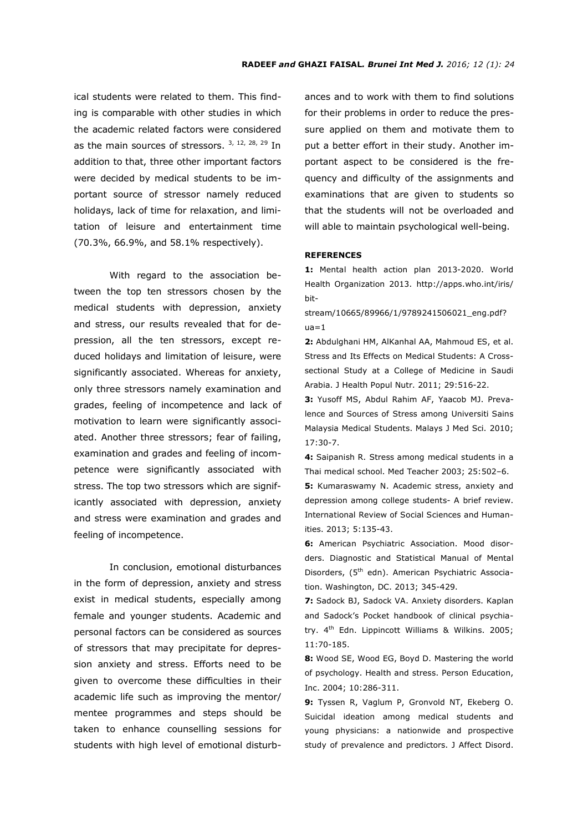ical students were related to them. This finding is comparable with other studies in which the academic related factors were considered as the main sources of stressors. 3, 12, 28, 29 In addition to that, three other important factors were decided by medical students to be important source of stressor namely reduced holidays, lack of time for relaxation, and limitation of leisure and entertainment time (70.3%, 66.9%, and 58.1% respectively).

 With regard to the association between the top ten stressors chosen by the medical students with depression, anxiety and stress, our results revealed that for depression, all the ten stressors, except reduced holidays and limitation of leisure, were significantly associated. Whereas for anxiety, only three stressors namely examination and grades, feeling of incompetence and lack of motivation to learn were significantly associated. Another three stressors; fear of failing, examination and grades and feeling of incompetence were significantly associated with stress. The top two stressors which are significantly associated with depression, anxiety and stress were examination and grades and feeling of incompetence.

 In conclusion, emotional disturbances in the form of depression, anxiety and stress exist in medical students, especially among female and younger students. Academic and personal factors can be considered as sources of stressors that may precipitate for depression anxiety and stress. Efforts need to be given to overcome these difficulties in their academic life such as improving the mentor/ mentee programmes and steps should be taken to enhance counselling sessions for students with high level of emotional disturbances and to work with them to find solutions for their problems in order to reduce the pressure applied on them and motivate them to put a better effort in their study. Another important aspect to be considered is the frequency and difficulty of the assignments and examinations that are given to students so that the students will not be overloaded and will able to maintain psychological well-being.

#### **REFERENCES**

**1:** Mental health action plan 2013-2020. World Health Organization 2013. http://apps.who.int/iris/ bit-

stream/10665/89966/1/9789241506021\_eng.pdf?  $ua=1$ 

**2:** Abdulghani HM, AlKanhal AA, Mahmoud ES, et al. Stress and Its Effects on Medical Students: A Crosssectional Study at a College of Medicine in Saudi Arabia. J Health Popul Nutr. 2011; 29:516-22.

**3:** Yusoff MS, Abdul Rahim AF, Yaacob MJ. Prevalence and Sources of Stress among Universiti Sains Malaysia Medical Students. Malays J Med Sci. 2010; 17:30-7.

**4:** Saipanish R. Stress among medical students in a Thai medical school. Med Teacher 2003; 25:502–6. **5:** Kumaraswamy N. Academic stress, anxiety and depression among college students- A brief review. International Review of Social Sciences and Humanities. 2013; 5:135-43.

**6:** American Psychiatric Association. Mood disorders. Diagnostic and Statistical Manual of Mental Disorders, (5<sup>th</sup> edn). American Psychiatric Association. Washington, DC. 2013; 345-429.

**7:** Sadock BJ, Sadock VA. Anxiety disorders. Kaplan and Sadock's Pocket handbook of clinical psychiatry. 4<sup>th</sup> Edn. Lippincott Williams & Wilkins. 2005; 11:70-185.

**8:** Wood SE, Wood EG, Boyd D. Mastering the world of psychology. Health and stress. Person Education, Inc. 2004; 10:286-311.

**9:** Tyssen R, Vaglum P, Gronvold NT, Ekeberg O. Suicidal ideation among medical students and young physicians: a nationwide and prospective study of prevalence and predictors. J Affect Disord.